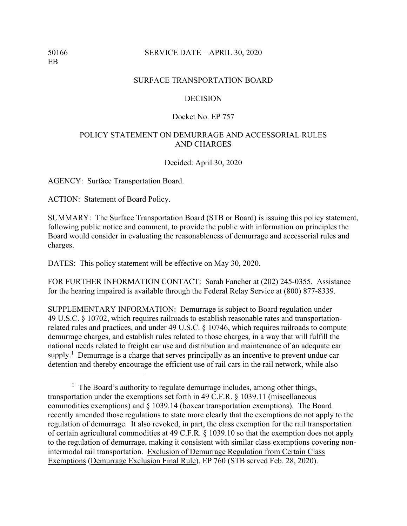## SURFACE TRANSPORTATION BOARD

#### DECISION

## Docket No. EP 757

## POLICY STATEMENT ON DEMURRAGE AND ACCESSORIAL RULES AND CHARGES

Decided: April 30, 2020

AGENCY: Surface Transportation Board.

ACTION: Statement of Board Policy.

SUMMARY: The Surface Transportation Board (STB or Board) is issuing this policy statement, following public notice and comment, to provide the public with information on principles the Board would consider in evaluating the reasonableness of demurrage and accessorial rules and charges.

DATES: This policy statement will be effective on May 30, 2020.

FOR FURTHER INFORMATION CONTACT: Sarah Fancher at (202) 245-0355. Assistance for the hearing impaired is available through the Federal Relay Service at (800) 877-8339.

SUPPLEMENTARY INFORMATION: Demurrage is subject to Board regulation under 49 U.S.C. § 10702, which requires railroads to establish reasonable rates and transportationrelated rules and practices, and under 49 U.S.C. § 10746, which requires railroads to compute demurrage charges, and establish rules related to those charges, in a way that will fulfill the national needs related to freight car use and distribution and maintenance of an adequate car supply.<sup>1</sup> Demurrage is a charge that serves principally as an incentive to prevent undue car detention and thereby encourage the efficient use of rail cars in the rail network, while also

<sup>&</sup>lt;sup>1</sup> The Board's authority to regulate demurrage includes, among other things, transportation under the exemptions set forth in 49 C.F.R. § 1039.11 (miscellaneous commodities exemptions) and § 1039.14 (boxcar transportation exemptions). The Board recently amended those regulations to state more clearly that the exemptions do not apply to the regulation of demurrage. It also revoked, in part, the class exemption for the rail transportation of certain agricultural commodities at 49 C.F.R. § 1039.10 so that the exemption does not apply to the regulation of demurrage, making it consistent with similar class exemptions covering nonintermodal rail transportation. Exclusion of Demurrage Regulation from Certain Class Exemptions (Demurrage Exclusion Final Rule), EP 760 (STB served Feb. 28, 2020).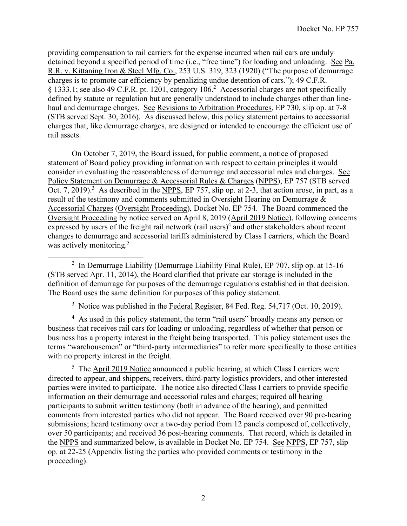providing compensation to rail carriers for the expense incurred when rail cars are unduly detained beyond a specified period of time (i.e., "free time") for loading and unloading. See Pa. R.R. v. Kittaning Iron & Steel Mfg. Co., 253 U.S. 319, 323 (1920) ("The purpose of demurrage charges is to promote car efficiency by penalizing undue detention of cars."); 49 C.F.R. § 1333.1; see also 49 C.F.R. pt. 1201, category 106.<sup>2</sup> Accessorial charges are not specifically defined by statute or regulation but are generally understood to include charges other than linehaul and demurrage charges. See Revisions to Arbitration Procedures, EP 730, slip op. at 7-8 (STB served Sept. 30, 2016). As discussed below, this policy statement pertains to accessorial charges that, like demurrage charges, are designed or intended to encourage the efficient use of rail assets.

On October 7, 2019, the Board issued, for public comment, a notice of proposed statement of Board policy providing information with respect to certain principles it would consider in evaluating the reasonableness of demurrage and accessorial rules and charges. See Policy Statement on Demurrage & Accessorial Rules & Charges (NPPS), EP 757 (STB served Oct. 7, 2019).<sup>3</sup> As described in the NPPS, EP 757, slip op. at 2-3, that action arose, in part, as a result of the testimony and comments submitted in Oversight Hearing on Demurrage & Accessorial Charges (Oversight Proceeding), Docket No. EP 754. The Board commenced the Oversight Proceeding by notice served on April 8, 2019 (April 2019 Notice), following concerns expressed by users of the freight rail network (rail users)<sup>4</sup> and other stakeholders about recent changes to demurrage and accessorial tariffs administered by Class I carriers, which the Board was actively monitoring.<sup>5</sup>

<sup>2</sup> In Demurrage Liability (Demurrage Liability Final Rule), EP 707, slip op. at 15-16 (STB served Apr. 11, 2014), the Board clarified that private car storage is included in the definition of demurrage for purposes of the demurrage regulations established in that decision. The Board uses the same definition for purposes of this policy statement.

<sup>3</sup> Notice was published in the **Federal Register**, 84 Fed. Reg.  $54,717$  (Oct. 10, 2019).

<sup>4</sup> As used in this policy statement, the term "rail users" broadly means any person or business that receives rail cars for loading or unloading, regardless of whether that person or business has a property interest in the freight being transported. This policy statement uses the terms "warehousemen" or "third-party intermediaries" to refer more specifically to those entities with no property interest in the freight.

<sup>5</sup> The April 2019 Notice announced a public hearing, at which Class I carriers were directed to appear, and shippers, receivers, third-party logistics providers, and other interested parties were invited to participate. The notice also directed Class I carriers to provide specific information on their demurrage and accessorial rules and charges; required all hearing participants to submit written testimony (both in advance of the hearing); and permitted comments from interested parties who did not appear. The Board received over 90 pre-hearing submissions; heard testimony over a two-day period from 12 panels composed of, collectively, over 50 participants; and received 36 post-hearing comments. That record, which is detailed in the NPPS and summarized below, is available in Docket No. EP 754. See NPPS, EP 757, slip op. at 22-25 (Appendix listing the parties who provided comments or testimony in the proceeding).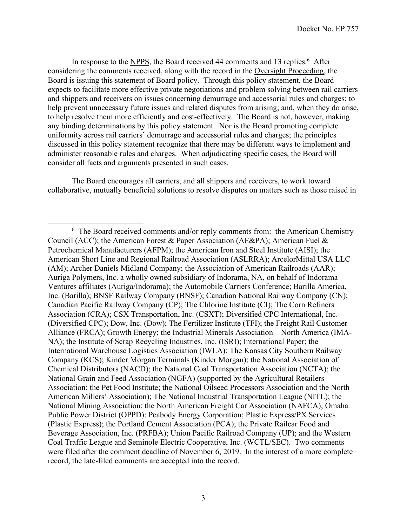In response to the NPPS, the Board received 44 comments and 13 replies.<sup>6</sup> After considering the comments received, along with the record in the Oversight Proceeding, the Board is issuing this statement of Board policy. Through this policy statement, the Board expects to facilitate more effective private negotiations and problem solving between rail carriers and shippers and receivers on issues concerning demurrage and accessorial rules and charges; to help prevent unnecessary future issues and related disputes from arising; and, when they do arise, to help resolve them more efficiently and cost-effectively. The Board is not, however, making any binding determinations by this policy statement. Nor is the Board promoting complete uniformity across rail carriers' demurrage and accessorial rules and charges; the principles discussed in this policy statement recognize that there may be different ways to implement and administer reasonable rules and charges. When adjudicating specific cases, the Board will consider all facts and arguments presented in such cases.

The Board encourages all carriers, and all shippers and receivers, to work toward collaborative, mutually beneficial solutions to resolve disputes on matters such as those raised in

 $6$  The Board received comments and/or reply comments from: the American Chemistry Council (ACC); the American Forest & Paper Association (AF&PA); American Fuel & Petrochemical Manufacturers (AFPM); the American Iron and Steel Institute (AISI); the American Short Line and Regional Railroad Association (ASLRRA); ArcelorMittal USA LLC (AM); Archer Daniels Midland Company; the Association of American Railroads (AAR); Auriga Polymers, Inc. a wholly owned subsidiary of Indorama, NA, on behalf of Indorama Ventures affiliates (Auriga/Indorama); the Automobile Carriers Conference; Barilla America, Inc. (Barilla); BNSF Railway Company (BNSF); Canadian National Railway Company (CN); Canadian Pacific Railway Company (CP); The Chlorine Institute (CI); The Corn Refiners Association (CRA); CSX Transportation, Inc. (CSXT); Diversified CPC International, Inc. (Diversified CPC); Dow, Inc. (Dow); The Fertilizer Institute (TFI); the Freight Rail Customer Alliance (FRCA); Growth Energy; the Industrial Minerals Association – North America (IMA-NA); the Institute of Scrap Recycling Industries, Inc. (ISRI); International Paper; the International Warehouse Logistics Association (IWLA); The Kansas City Southern Railway Company (KCS); Kinder Morgan Terminals (Kinder Morgan); the National Association of Chemical Distributors (NACD); the National Coal Transportation Association (NCTA); the National Grain and Feed Association (NGFA) (supported by the Agricultural Retailers Association; the Pet Food Institute; the National Oilseed Processors Association and the North American Millers' Association); The National Industrial Transportation League (NITL); the National Mining Association; the North American Freight Car Association (NAFCA); Omaha Public Power District (OPPD); Peabody Energy Corporation; Plastic Express/PX Services (Plastic Express); the Portland Cement Association (PCA); the Private Railcar Food and Beverage Association, Inc. (PRFBA); Union Pacific Railroad Company (UP); and the Western Coal Traffic League and Seminole Electric Cooperative, Inc. (WCTL/SEC). Two comments were filed after the comment deadline of November 6, 2019. In the interest of a more complete record, the late-filed comments are accepted into the record.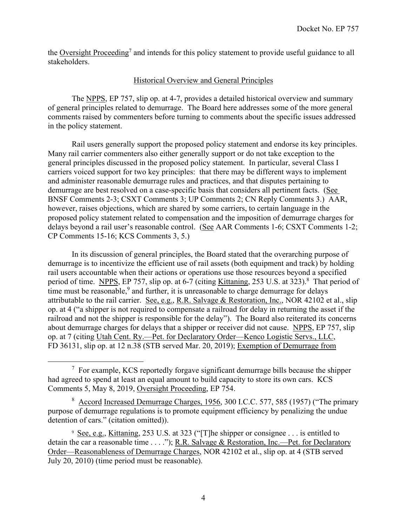the Oversight Proceeding<sup>7</sup> and intends for this policy statement to provide useful guidance to all stakeholders.

## Historical Overview and General Principles

The NPPS, EP 757, slip op. at 4-7, provides a detailed historical overview and summary of general principles related to demurrage. The Board here addresses some of the more general comments raised by commenters before turning to comments about the specific issues addressed in the policy statement.

Rail users generally support the proposed policy statement and endorse its key principles. Many rail carrier commenters also either generally support or do not take exception to the general principles discussed in the proposed policy statement. In particular, several Class I carriers voiced support for two key principles: that there may be different ways to implement and administer reasonable demurrage rules and practices, and that disputes pertaining to demurrage are best resolved on a case-specific basis that considers all pertinent facts. (See BNSF Comments 2-3; CSXT Comments 3; UP Comments 2; CN Reply Comments 3.) AAR, however, raises objections, which are shared by some carriers, to certain language in the proposed policy statement related to compensation and the imposition of demurrage charges for delays beyond a rail user's reasonable control. (See AAR Comments 1-6; CSXT Comments 1-2; CP Comments 15-16; KCS Comments 3, 5.)

In its discussion of general principles, the Board stated that the overarching purpose of demurrage is to incentivize the efficient use of rail assets (both equipment and track) by holding rail users accountable when their actions or operations use those resources beyond a specified period of time. NPPS, EP 757, slip op. at 6-7 (citing Kittaning, 253 U.S. at 323).<sup>8</sup> That period of time must be reasonable,  $9$  and further, it is unreasonable to charge demurrage for delays attributable to the rail carrier. See, e.g., R.R. Salvage & Restoration, Inc., NOR 42102 et al., slip op. at 4 ("a shipper is not required to compensate a railroad for delay in returning the asset if the railroad and not the shipper is responsible for the delay"). The Board also reiterated its concerns about demurrage charges for delays that a shipper or receiver did not cause. NPPS, EP 757, slip op. at 7 (citing Utah Cent. Ry.—Pet. for Declaratory Order—Kenco Logistic Servs., LLC, FD 36131, slip op. at 12 n.38 (STB served Mar. 20, 2019); Exemption of Demurrage from

 $7$  For example, KCS reportedly forgave significant demurrage bills because the shipper had agreed to spend at least an equal amount to build capacity to store its own cars. KCS Comments 5, May 8, 2019, Oversight Proceeding, EP 754.

<sup>&</sup>lt;sup>8</sup> Accord Increased Demurrage Charges, 1956, 300 I.C.C. 577, 585 (1957) ("The primary purpose of demurrage regulations is to promote equipment efficiency by penalizing the undue detention of cars." (citation omitted)).

<sup>&</sup>lt;sup>9</sup> See, e.g., Kittaning, 253 U.S. at 323 ("[T]he shipper or consignee . . . is entitled to detain the car a reasonable time . . . ."); R.R. Salvage & Restoration, Inc.—Pet. for Declaratory Order—Reasonableness of Demurrage Charges, NOR 42102 et al., slip op. at 4 (STB served July 20, 2010) (time period must be reasonable).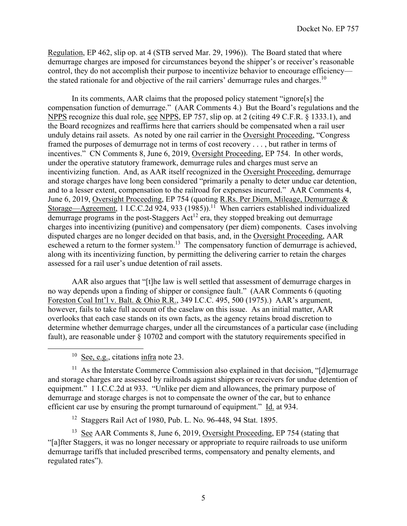Regulation, EP 462, slip op. at 4 (STB served Mar. 29, 1996)). The Board stated that where demurrage charges are imposed for circumstances beyond the shipper's or receiver's reasonable control, they do not accomplish their purpose to incentivize behavior to encourage efficiency the stated rationale for and objective of the rail carriers' demurrage rules and charges.<sup>10</sup>

 In its comments, AAR claims that the proposed policy statement "ignore[s] the compensation function of demurrage." (AAR Comments 4.) But the Board's regulations and the NPPS recognize this dual role, see NPPS, EP 757, slip op. at 2 (citing 49 C.F.R. § 1333.1), and the Board recognizes and reaffirms here that carriers should be compensated when a rail user unduly detains rail assets. As noted by one rail carrier in the Oversight Proceeding, "Congress framed the purposes of demurrage not in terms of cost recovery . . . , but rather in terms of incentives." CN Comments 8, June 6, 2019, Oversight Proceeding, EP 754. In other words, under the operative statutory framework, demurrage rules and charges must serve an incentivizing function. And, as AAR itself recognized in the Oversight Proceeding, demurrage and storage charges have long been considered "primarily a penalty to deter undue car detention, and to a lesser extent, compensation to the railroad for expenses incurred." AAR Comments 4, June 6, 2019, Oversight Proceeding, EP 754 (quoting R.Rs. Per Diem, Mileage, Demurrage & Storage—Agreement, 1 I.C.C.2d 924, 933 (1985)).<sup>11</sup> When carriers established individualized  $\overline{\text{demurrage programs}}$  in the post-Staggers  $\text{Act}^{12}$  era, they stopped breaking out demurrage charges into incentivizing (punitive) and compensatory (per diem) components. Cases involving disputed charges are no longer decided on that basis, and, in the Oversight Proceeding, AAR eschewed a return to the former system.<sup>13</sup> The compensatory function of demurrage is achieved, along with its incentivizing function, by permitting the delivering carrier to retain the charges assessed for a rail user's undue detention of rail assets.

AAR also argues that "[t]he law is well settled that assessment of demurrage charges in no way depends upon a finding of shipper or consignee fault." (AAR Comments 6 (quoting Foreston Coal Int'l v. Balt. & Ohio R.R., 349 I.C.C. 495, 500 (1975).) AAR's argument, however, fails to take full account of the caselaw on this issue. As an initial matter, AAR overlooks that each case stands on its own facts, as the agency retains broad discretion to determine whether demurrage charges, under all the circumstances of a particular case (including fault), are reasonable under § 10702 and comport with the statutory requirements specified in

 $10$  See, e.g., citations infra note 23.

 $11$  As the Interstate Commerce Commission also explained in that decision, "[d]emurrage and storage charges are assessed by railroads against shippers or receivers for undue detention of equipment." 1 I.C.C.2d at 933. "Unlike per diem and allowances, the primary purpose of demurrage and storage charges is not to compensate the owner of the car, but to enhance efficient car use by ensuring the prompt turnaround of equipment." Id. at 934.

12 Staggers Rail Act of 1980, Pub. L. No. 96-448, 94 Stat. 1895.

<sup>13</sup> See AAR Comments 8, June 6, 2019, Oversight Proceeding, EP 754 (stating that "[a]fter Staggers, it was no longer necessary or appropriate to require railroads to use uniform demurrage tariffs that included prescribed terms, compensatory and penalty elements, and regulated rates").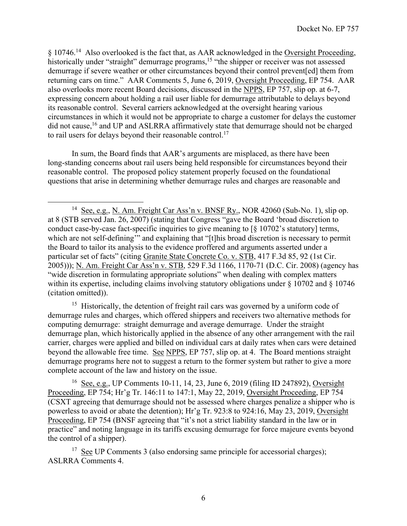§ 10746.<sup>14</sup> Also overlooked is the fact that, as AAR acknowledged in the Oversight Proceeding, historically under "straight" demurrage programs,<sup>15</sup> "the shipper or receiver was not assessed demurrage if severe weather or other circumstances beyond their control prevent[ed] them from returning cars on time." AAR Comments 5, June 6, 2019, Oversight Proceeding, EP 754. AAR also overlooks more recent Board decisions, discussed in the NPPS, EP 757, slip op. at 6-7, expressing concern about holding a rail user liable for demurrage attributable to delays beyond its reasonable control. Several carriers acknowledged at the oversight hearing various circumstances in which it would not be appropriate to charge a customer for delays the customer did not cause,<sup>16</sup> and UP and ASLRRA affirmatively state that demurrage should not be charged to rail users for delays beyond their reasonable control.<sup>17</sup>

In sum, the Board finds that AAR's arguments are misplaced, as there have been long-standing concerns about rail users being held responsible for circumstances beyond their reasonable control. The proposed policy statement properly focused on the foundational questions that arise in determining whether demurrage rules and charges are reasonable and

 $15$  Historically, the detention of freight rail cars was governed by a uniform code of demurrage rules and charges, which offered shippers and receivers two alternative methods for computing demurrage: straight demurrage and average demurrage. Under the straight demurrage plan, which historically applied in the absence of any other arrangement with the rail carrier, charges were applied and billed on individual cars at daily rates when cars were detained beyond the allowable free time. See NPPS, EP 757, slip op. at 4. The Board mentions straight demurrage programs here not to suggest a return to the former system but rather to give a more complete account of the law and history on the issue.

16 See, e.g., UP Comments 10-11, 14, 23, June 6, 2019 (filing ID 247892), Oversight Proceeding, EP 754; Hr'g Tr. 146:11 to 147:1, May 22, 2019, Oversight Proceeding, EP 754 (CSXT agreeing that demurrage should not be assessed where charges penalize a shipper who is powerless to avoid or abate the detention); Hr'g Tr. 923:8 to 924:16, May 23, 2019, Oversight Proceeding, EP 754 (BNSF agreeing that "it's not a strict liability standard in the law or in practice" and noting language in its tariffs excusing demurrage for force majeure events beyond the control of a shipper).

<sup>17</sup> See UP Comments 3 (also endorsing same principle for accessorial charges); ASLRRA Comments 4.

<sup>&</sup>lt;sup>14</sup> See, e.g., N. Am. Freight Car Ass'n v. BNSF Ry., NOR 42060 (Sub-No. 1), slip op. at 8 (STB served Jan. 26, 2007) (stating that Congress "gave the Board 'broad discretion to conduct case-by-case fact-specific inquiries to give meaning to [§ 10702's statutory] terms, which are not self-defining'" and explaining that "[t]his broad discretion is necessary to permit the Board to tailor its analysis to the evidence proffered and arguments asserted under a particular set of facts" (citing Granite State Concrete Co. v. STB, 417 F.3d 85, 92 (1st Cir. 2005))); N. Am. Freight Car Ass'n v. STB, 529 F.3d 1166, 1170-71 (D.C. Cir. 2008) (agency has "wide discretion in formulating appropriate solutions" when dealing with complex matters within its expertise, including claims involving statutory obligations under  $\S$  10702 and  $\S$  10746 (citation omitted)).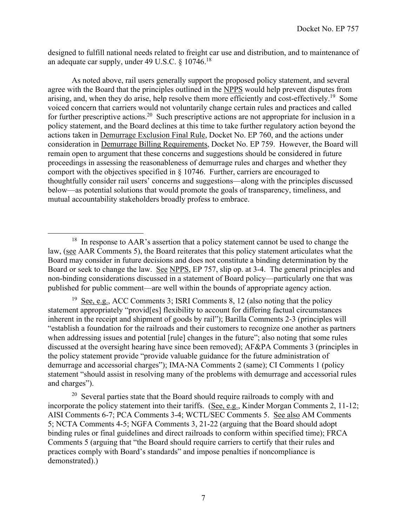designed to fulfill national needs related to freight car use and distribution, and to maintenance of an adequate car supply, under 49 U.S.C. § 10746.18

 As noted above, rail users generally support the proposed policy statement, and several agree with the Board that the principles outlined in the NPPS would help prevent disputes from arising, and, when they do arise, help resolve them more efficiently and cost-effectively.<sup>19</sup> Some voiced concern that carriers would not voluntarily change certain rules and practices and called for further prescriptive actions.<sup>20</sup> Such prescriptive actions are not appropriate for inclusion in a policy statement, and the Board declines at this time to take further regulatory action beyond the actions taken in Demurrage Exclusion Final Rule, Docket No. EP 760, and the actions under consideration in Demurrage Billing Requirements, Docket No. EP 759. However, the Board will remain open to argument that these concerns and suggestions should be considered in future proceedings in assessing the reasonableness of demurrage rules and charges and whether they comport with the objectives specified in § 10746. Further, carriers are encouraged to thoughtfully consider rail users' concerns and suggestions—along with the principles discussed below—as potential solutions that would promote the goals of transparency, timeliness, and mutual accountability stakeholders broadly profess to embrace.

<sup>19</sup> See, e.g., ACC Comments 3; ISRI Comments 8, 12 (also noting that the policy statement appropriately "provid[es] flexibility to account for differing factual circumstances inherent in the receipt and shipment of goods by rail"); Barilla Comments 2-3 (principles will "establish a foundation for the railroads and their customers to recognize one another as partners when addressing issues and potential [rule] changes in the future"; also noting that some rules discussed at the oversight hearing have since been removed); AF&PA Comments 3 (principles in the policy statement provide "provide valuable guidance for the future administration of demurrage and accessorial charges"); IMA-NA Comments 2 (same); CI Comments 1 (policy statement "should assist in resolving many of the problems with demurrage and accessorial rules and charges").

<sup>20</sup> Several parties state that the Board should require railroads to comply with and incorporate the policy statement into their tariffs. (See, e.g., Kinder Morgan Comments 2, 11-12; AISI Comments 6-7; PCA Comments 3-4; WCTL/SEC Comments 5. See also AM Comments 5; NCTA Comments 4-5; NGFA Comments 3, 21-22 (arguing that the Board should adopt binding rules or final guidelines and direct railroads to conform within specified time); FRCA Comments 5 (arguing that "the Board should require carriers to certify that their rules and practices comply with Board's standards" and impose penalties if noncompliance is demonstrated).)

 $18$  In response to AAR's assertion that a policy statement cannot be used to change the law, (see AAR Comments 5), the Board reiterates that this policy statement articulates what the Board may consider in future decisions and does not constitute a binding determination by the Board or seek to change the law. See NPPS, EP 757, slip op. at 3-4. The general principles and non-binding considerations discussed in a statement of Board policy—particularly one that was published for public comment—are well within the bounds of appropriate agency action.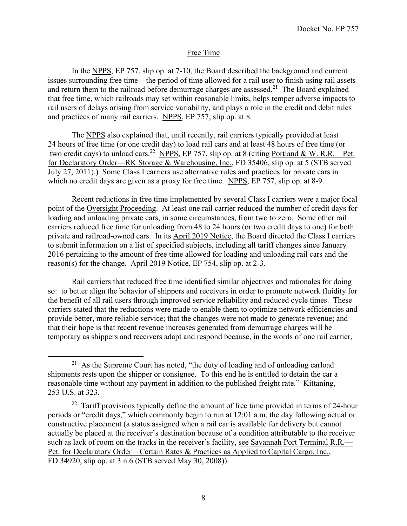# Free Time

 In the NPPS, EP 757, slip op. at 7-10, the Board described the background and current issues surrounding free time—the period of time allowed for a rail user to finish using rail assets and return them to the railroad before demurrage charges are assessed.<sup>21</sup> The Board explained that free time, which railroads may set within reasonable limits, helps temper adverse impacts to rail users of delays arising from service variability, and plays a role in the credit and debit rules and practices of many rail carriers. NPPS, EP 757, slip op. at 8.

 The NPPS also explained that, until recently, rail carriers typically provided at least 24 hours of free time (or one credit day) to load rail cars and at least 48 hours of free time (or two credit days) to unload cars.<sup>22</sup> NPPS, EP 757, slip op. at 8 (citing Portland & W. R.R.—Pet. for Declaratory Order—RK Storage & Warehousing, Inc., FD 35406, slip op. at 5 (STB served July 27, 2011).) Some Class I carriers use alternative rules and practices for private cars in which no credit days are given as a proxy for free time. NPPS, EP 757, slip op. at 8-9.

 Recent reductions in free time implemented by several Class I carriers were a major focal point of the Oversight Proceeding. At least one rail carrier reduced the number of credit days for loading and unloading private cars, in some circumstances, from two to zero. Some other rail carriers reduced free time for unloading from 48 to 24 hours (or two credit days to one) for both private and railroad-owned cars. In its April 2019 Notice, the Board directed the Class I carriers to submit information on a list of specified subjects, including all tariff changes since January 2016 pertaining to the amount of free time allowed for loading and unloading rail cars and the reason(s) for the change. April 2019 Notice, EP 754, slip op. at 2-3.

Rail carriers that reduced free time identified similar objectives and rationales for doing so: to better align the behavior of shippers and receivers in order to promote network fluidity for the benefit of all rail users through improved service reliability and reduced cycle times. These carriers stated that the reductions were made to enable them to optimize network efficiencies and provide better, more reliable service; that the changes were not made to generate revenue; and that their hope is that recent revenue increases generated from demurrage charges will be temporary as shippers and receivers adapt and respond because, in the words of one rail carrier,

<sup>&</sup>lt;sup>21</sup> As the Supreme Court has noted, "the duty of loading and of unloading carload shipments rests upon the shipper or consignee. To this end he is entitled to detain the car a reasonable time without any payment in addition to the published freight rate." Kittaning, 253 U.S. at 323.

 $22$  Tariff provisions typically define the amount of free time provided in terms of 24-hour periods or "credit days," which commonly begin to run at 12:01 a.m. the day following actual or constructive placement (a status assigned when a rail car is available for delivery but cannot actually be placed at the receiver's destination because of a condition attributable to the receiver such as lack of room on the tracks in the receiver's facility, see Savannah Port Terminal R.R.— Pet. for Declaratory Order—Certain Rates & Practices as Applied to Capital Cargo, Inc., FD 34920, slip op. at 3 n.6 (STB served May 30, 2008)).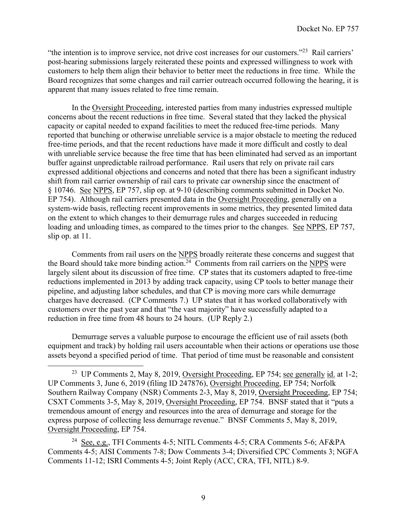"the intention is to improve service, not drive cost increases for our customers."23 Rail carriers' post-hearing submissions largely reiterated these points and expressed willingness to work with customers to help them align their behavior to better meet the reductions in free time. While the Board recognizes that some changes and rail carrier outreach occurred following the hearing, it is apparent that many issues related to free time remain.

In the Oversight Proceeding, interested parties from many industries expressed multiple concerns about the recent reductions in free time. Several stated that they lacked the physical capacity or capital needed to expand facilities to meet the reduced free-time periods. Many reported that bunching or otherwise unreliable service is a major obstacle to meeting the reduced free-time periods, and that the recent reductions have made it more difficult and costly to deal with unreliable service because the free time that has been eliminated had served as an important buffer against unpredictable railroad performance. Rail users that rely on private rail cars expressed additional objections and concerns and noted that there has been a significant industry shift from rail carrier ownership of rail cars to private car ownership since the enactment of § 10746. See NPPS, EP 757, slip op. at 9-10 (describing comments submitted in Docket No. EP 754). Although rail carriers presented data in the Oversight Proceeding, generally on a system-wide basis, reflecting recent improvements in some metrics, they presented limited data on the extent to which changes to their demurrage rules and charges succeeded in reducing loading and unloading times, as compared to the times prior to the changes. See NPPS, EP 757, slip op. at 11.

Comments from rail users on the NPPS broadly reiterate these concerns and suggest that the Board should take more binding action.<sup>24</sup> Comments from rail carriers on the NPPS were largely silent about its discussion of free time. CP states that its customers adapted to free-time reductions implemented in 2013 by adding track capacity, using CP tools to better manage their pipeline, and adjusting labor schedules, and that CP is moving more cars while demurrage charges have decreased. (CP Comments 7.) UP states that it has worked collaboratively with customers over the past year and that "the vast majority" have successfully adapted to a reduction in free time from 48 hours to 24 hours. (UP Reply 2.)

 Demurrage serves a valuable purpose to encourage the efficient use of rail assets (both equipment and track) by holding rail users accountable when their actions or operations use those assets beyond a specified period of time. That period of time must be reasonable and consistent

<sup>&</sup>lt;sup>23</sup> UP Comments 2, May 8, 2019, Oversight Proceeding, EP 754; see generally id. at 1-2; UP Comments 3, June 6, 2019 (filing ID 247876), Oversight Proceeding, EP 754; Norfolk Southern Railway Company (NSR) Comments 2-3, May 8, 2019, Oversight Proceeding, EP 754; CSXT Comments 3-5, May 8, 2019, Oversight Proceeding, EP 754. BNSF stated that it "puts a tremendous amount of energy and resources into the area of demurrage and storage for the express purpose of collecting less demurrage revenue." BNSF Comments 5, May 8, 2019, Oversight Proceeding, EP 754.

<sup>24</sup> See, e.g., TFI Comments 4-5; NITL Comments 4-5; CRA Comments 5-6; AF&PA Comments 4-5; AISI Comments 7-8; Dow Comments 3-4; Diversified CPC Comments 3; NGFA Comments 11-12; ISRI Comments 4-5; Joint Reply (ACC, CRA, TFI, NITL) 8-9.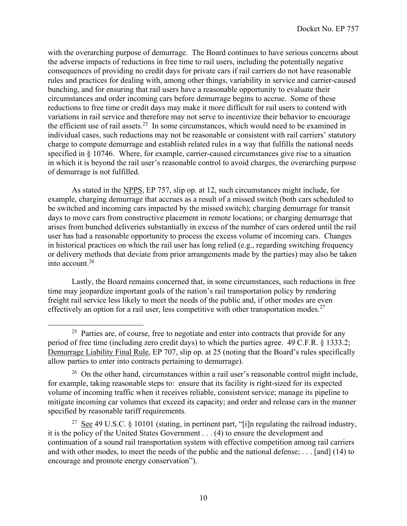with the overarching purpose of demurrage. The Board continues to have serious concerns about the adverse impacts of reductions in free time to rail users, including the potentially negative consequences of providing no credit days for private cars if rail carriers do not have reasonable rules and practices for dealing with, among other things, variability in service and carrier-caused bunching, and for ensuring that rail users have a reasonable opportunity to evaluate their circumstances and order incoming cars before demurrage begins to accrue. Some of these reductions to free time or credit days may make it more difficult for rail users to contend with variations in rail service and therefore may not serve to incentivize their behavior to encourage the efficient use of rail assets.<sup>25</sup> In some circumstances, which would need to be examined in individual cases, such reductions may not be reasonable or consistent with rail carriers' statutory charge to compute demurrage and establish related rules in a way that fulfills the national needs specified in § 10746. Where, for example, carrier-caused circumstances give rise to a situation in which it is beyond the rail user's reasonable control to avoid charges, the overarching purpose of demurrage is not fulfilled.

As stated in the NPPS, EP 757, slip op. at 12, such circumstances might include, for example, charging demurrage that accrues as a result of a missed switch (both cars scheduled to be switched and incoming cars impacted by the missed switch); charging demurrage for transit days to move cars from constructive placement in remote locations; or charging demurrage that arises from bunched deliveries substantially in excess of the number of cars ordered until the rail user has had a reasonable opportunity to process the excess volume of incoming cars. Changes in historical practices on which the rail user has long relied (e.g., regarding switching frequency or delivery methods that deviate from prior arrangements made by the parties) may also be taken into account.26

Lastly, the Board remains concerned that, in some circumstances, such reductions in free time may jeopardize important goals of the nation's rail transportation policy by rendering freight rail service less likely to meet the needs of the public and, if other modes are even effectively an option for a rail user, less competitive with other transportation modes.<sup>27</sup>

<sup>&</sup>lt;sup>25</sup> Parties are, of course, free to negotiate and enter into contracts that provide for any period of free time (including zero credit days) to which the parties agree. 49 C.F.R. § 1333.2; Demurrage Liability Final Rule, EP 707, slip op. at 25 (noting that the Board's rules specifically allow parties to enter into contracts pertaining to demurrage).

 $26$  On the other hand, circumstances within a rail user's reasonable control might include, for example, taking reasonable steps to: ensure that its facility is right-sized for its expected volume of incoming traffic when it receives reliable, consistent service; manage its pipeline to mitigate incoming car volumes that exceed its capacity; and order and release cars in the manner specified by reasonable tariff requirements.

<sup>&</sup>lt;sup>27</sup> See 49 U.S.C. § 10101 (stating, in pertinent part, "[i]n regulating the railroad industry, it is the policy of the United States Government . . . (4) to ensure the development and continuation of a sound rail transportation system with effective competition among rail carriers and with other modes, to meet the needs of the public and the national defense; . . . [and] (14) to encourage and promote energy conservation").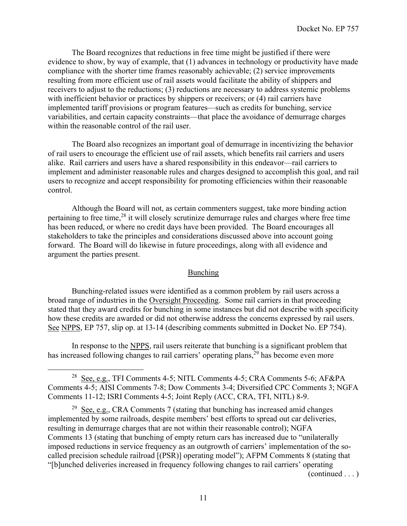The Board recognizes that reductions in free time might be justified if there were evidence to show, by way of example, that (1) advances in technology or productivity have made compliance with the shorter time frames reasonably achievable; (2) service improvements resulting from more efficient use of rail assets would facilitate the ability of shippers and receivers to adjust to the reductions; (3) reductions are necessary to address systemic problems with inefficient behavior or practices by shippers or receivers; or (4) rail carriers have implemented tariff provisions or program features—such as credits for bunching, service variabilities, and certain capacity constraints—that place the avoidance of demurrage charges within the reasonable control of the rail user.

 The Board also recognizes an important goal of demurrage in incentivizing the behavior of rail users to encourage the efficient use of rail assets, which benefits rail carriers and users alike. Rail carriers and users have a shared responsibility in this endeavor—rail carriers to implement and administer reasonable rules and charges designed to accomplish this goal, and rail users to recognize and accept responsibility for promoting efficiencies within their reasonable control.

Although the Board will not, as certain commenters suggest, take more binding action pertaining to free time,<sup>28</sup> it will closely scrutinize demurrage rules and charges where free time has been reduced, or where no credit days have been provided. The Board encourages all stakeholders to take the principles and considerations discussed above into account going forward. The Board will do likewise in future proceedings, along with all evidence and argument the parties present.

#### Bunching

 Bunching-related issues were identified as a common problem by rail users across a broad range of industries in the Oversight Proceeding. Some rail carriers in that proceeding stated that they award credits for bunching in some instances but did not describe with specificity how these credits are awarded or did not otherwise address the concerns expressed by rail users. See NPPS, EP 757, slip op. at 13-14 (describing comments submitted in Docket No. EP 754).

In response to the NPPS, rail users reiterate that bunching is a significant problem that has increased following changes to rail carriers' operating plans,<sup>29</sup> has become even more

(continued . . . )

 $28$  See, e.g., TFI Comments 4-5; NITL Comments 4-5; CRA Comments 5-6; AF&PA Comments 4-5; AISI Comments 7-8; Dow Comments 3-4; Diversified CPC Comments 3; NGFA Comments 11-12; ISRI Comments 4-5; Joint Reply (ACC, CRA, TFI, NITL) 8-9.

<sup>&</sup>lt;sup>29</sup> See, e.g., CRA Comments 7 (stating that bunching has increased amid changes) implemented by some railroads, despite members' best efforts to spread out car deliveries, resulting in demurrage charges that are not within their reasonable control); NGFA Comments 13 (stating that bunching of empty return cars has increased due to "unilaterally imposed reductions in service frequency as an outgrowth of carriers' implementation of the socalled precision schedule railroad [(PSR)] operating model"); AFPM Comments 8 (stating that "[b]unched deliveries increased in frequency following changes to rail carriers' operating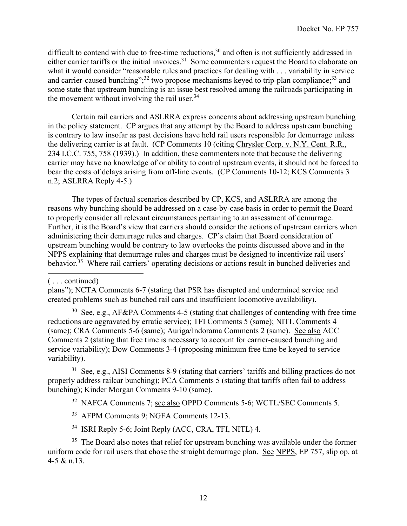difficult to contend with due to free-time reductions,<sup>30</sup> and often is not sufficiently addressed in either carrier tariffs or the initial invoices.<sup>31</sup> Some commenters request the Board to elaborate on what it would consider "reasonable rules and practices for dealing with . . . variability in service and carrier-caused bunching";<sup>32</sup> two propose mechanisms keyed to trip-plan compliance;<sup>33</sup> and some state that upstream bunching is an issue best resolved among the railroads participating in the movement without involving the rail user.<sup>34</sup>

Certain rail carriers and ASLRRA express concerns about addressing upstream bunching in the policy statement. CP argues that any attempt by the Board to address upstream bunching is contrary to law insofar as past decisions have held rail users responsible for demurrage unless the delivering carrier is at fault. (CP Comments 10 (citing Chrysler Corp. v. N.Y. Cent. R.R., 234 I.C.C. 755, 758 (1939).) In addition, these commenters note that because the delivering carrier may have no knowledge of or ability to control upstream events, it should not be forced to bear the costs of delays arising from off-line events. (CP Comments 10-12; KCS Comments 3 n.2; ASLRRA Reply 4-5.)

 The types of factual scenarios described by CP, KCS, and ASLRRA are among the reasons why bunching should be addressed on a case-by-case basis in order to permit the Board to properly consider all relevant circumstances pertaining to an assessment of demurrage. Further, it is the Board's view that carriers should consider the actions of upstream carriers when administering their demurrage rules and charges. CP's claim that Board consideration of upstream bunching would be contrary to law overlooks the points discussed above and in the NPPS explaining that demurrage rules and charges must be designed to incentivize rail users' behavior.<sup>35</sup> Where rail carriers' operating decisions or actions result in bunched deliveries and

plans"); NCTA Comments 6-7 (stating that PSR has disrupted and undermined service and created problems such as bunched rail cars and insufficient locomotive availability).

 $30$  See, e.g., AF&PA Comments 4-5 (stating that challenges of contending with free time reductions are aggravated by erratic service); TFI Comments 5 (same); NITL Comments 4 (same); CRA Comments 5-6 (same); Auriga/Indorama Comments 2 (same). See also ACC Comments 2 (stating that free time is necessary to account for carrier-caused bunching and service variability); Dow Comments 3-4 (proposing minimum free time be keyed to service variability).

 $31$  See, e.g., AISI Comments 8-9 (stating that carriers' tariffs and billing practices do not properly address railcar bunching); PCA Comments 5 (stating that tariffs often fail to address bunching); Kinder Morgan Comments 9-10 (same).

32 NAFCA Comments 7; see also OPPD Comments 5-6; WCTL/SEC Comments 5.

- <sup>33</sup> AFPM Comments 9; NGFA Comments 12-13.
- 34 ISRI Reply 5-6; Joint Reply (ACC, CRA, TFI, NITL) 4.

 $35$  The Board also notes that relief for upstream bunching was available under the former uniform code for rail users that chose the straight demurrage plan. See NPPS, EP 757, slip op. at 4-5 & n.13.

<sup>( . . .</sup> continued)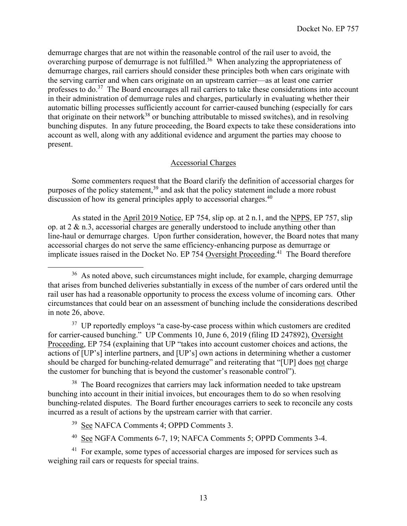demurrage charges that are not within the reasonable control of the rail user to avoid, the overarching purpose of demurrage is not fulfilled.<sup>36</sup> When analyzing the appropriateness of demurrage charges, rail carriers should consider these principles both when cars originate with the serving carrier and when cars originate on an upstream carrier—as at least one carrier professes to do.<sup>37</sup> The Board encourages all rail carriers to take these considerations into account in their administration of demurrage rules and charges, particularly in evaluating whether their automatic billing processes sufficiently account for carrier-caused bunching (especially for cars that originate on their network<sup>38</sup> or bunching attributable to missed switches), and in resolving bunching disputes. In any future proceeding, the Board expects to take these considerations into account as well, along with any additional evidence and argument the parties may choose to present.

## Accessorial Charges

Some commenters request that the Board clarify the definition of accessorial charges for purposes of the policy statement,<sup>39</sup> and ask that the policy statement include a more robust discussion of how its general principles apply to accessorial charges.<sup>40</sup>

As stated in the April 2019 Notice, EP 754, slip op. at 2 n.1, and the NPPS, EP 757, slip op. at 2 & n.3, accessorial charges are generally understood to include anything other than line-haul or demurrage charges. Upon further consideration, however, the Board notes that many accessorial charges do not serve the same efficiency-enhancing purpose as demurrage or implicate issues raised in the Docket No. EP 754 Oversight Proceeding.<sup>41</sup> The Board therefore

<sup>37</sup> UP reportedly employs "a case-by-case process within which customers are credited for carrier-caused bunching." UP Comments 10, June 6, 2019 (filing ID 247892), Oversight Proceeding, EP 754 (explaining that UP "takes into account customer choices and actions, the actions of [UP's] interline partners, and [UP's] own actions in determining whether a customer should be charged for bunching-related demurrage" and reiterating that "[UP] does not charge the customer for bunching that is beyond the customer's reasonable control").

<sup>38</sup> The Board recognizes that carriers may lack information needed to take upstream bunching into account in their initial invoices, but encourages them to do so when resolving bunching-related disputes. The Board further encourages carriers to seek to reconcile any costs incurred as a result of actions by the upstream carrier with that carrier.

40 See NGFA Comments 6-7, 19; NAFCA Comments 5; OPPD Comments 3-4.

<sup>41</sup> For example, some types of accessorial charges are imposed for services such as weighing rail cars or requests for special trains.

<sup>&</sup>lt;sup>36</sup> As noted above, such circumstances might include, for example, charging demurrage that arises from bunched deliveries substantially in excess of the number of cars ordered until the rail user has had a reasonable opportunity to process the excess volume of incoming cars. Other circumstances that could bear on an assessment of bunching include the considerations described in note 26, above.

<sup>39</sup> See NAFCA Comments 4; OPPD Comments 3.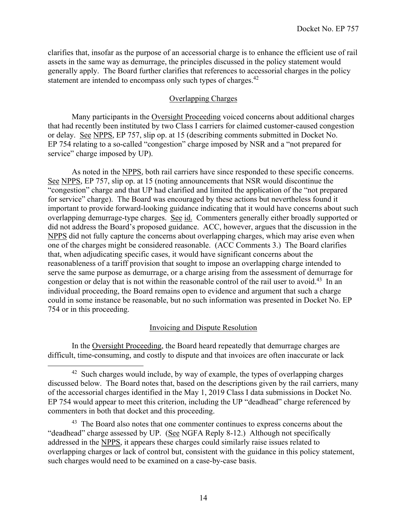clarifies that, insofar as the purpose of an accessorial charge is to enhance the efficient use of rail assets in the same way as demurrage, the principles discussed in the policy statement would generally apply. The Board further clarifies that references to accessorial charges in the policy statement are intended to encompass only such types of charges.<sup>42</sup>

## Overlapping Charges

Many participants in the Oversight Proceeding voiced concerns about additional charges that had recently been instituted by two Class I carriers for claimed customer-caused congestion or delay. See NPPS, EP 757, slip op. at 15 (describing comments submitted in Docket No. EP 754 relating to a so-called "congestion" charge imposed by NSR and a "not prepared for service" charge imposed by UP).

 As noted in the NPPS, both rail carriers have since responded to these specific concerns. See NPPS, EP 757, slip op. at 15 (noting announcements that NSR would discontinue the "congestion" charge and that UP had clarified and limited the application of the "not prepared for service" charge). The Board was encouraged by these actions but nevertheless found it important to provide forward-looking guidance indicating that it would have concerns about such overlapping demurrage-type charges. See id. Commenters generally either broadly supported or did not address the Board's proposed guidance. ACC, however, argues that the discussion in the NPPS did not fully capture the concerns about overlapping charges, which may arise even when one of the charges might be considered reasonable. (ACC Comments 3.) The Board clarifies that, when adjudicating specific cases, it would have significant concerns about the reasonableness of a tariff provision that sought to impose an overlapping charge intended to serve the same purpose as demurrage, or a charge arising from the assessment of demurrage for congestion or delay that is not within the reasonable control of the rail user to avoid.<sup>43</sup> In an individual proceeding, the Board remains open to evidence and argument that such a charge could in some instance be reasonable, but no such information was presented in Docket No. EP 754 or in this proceeding.

# Invoicing and Dispute Resolution

 In the Oversight Proceeding, the Board heard repeatedly that demurrage charges are difficult, time-consuming, and costly to dispute and that invoices are often inaccurate or lack

 $42$  Such charges would include, by way of example, the types of overlapping charges discussed below. The Board notes that, based on the descriptions given by the rail carriers, many of the accessorial charges identified in the May 1, 2019 Class I data submissions in Docket No. EP 754 would appear to meet this criterion, including the UP "deadhead" charge referenced by commenters in both that docket and this proceeding.

<sup>&</sup>lt;sup>43</sup> The Board also notes that one commenter continues to express concerns about the "deadhead" charge assessed by UP. (See NGFA Reply 8-12.) Although not specifically addressed in the NPPS, it appears these charges could similarly raise issues related to overlapping charges or lack of control but, consistent with the guidance in this policy statement, such charges would need to be examined on a case-by-case basis.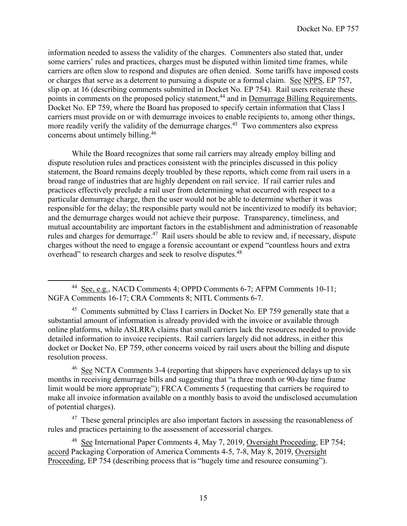information needed to assess the validity of the charges. Commenters also stated that, under some carriers' rules and practices, charges must be disputed within limited time frames, while carriers are often slow to respond and disputes are often denied. Some tariffs have imposed costs or charges that serve as a deterrent to pursuing a dispute or a formal claim. See NPPS, EP 757, slip op. at 16 (describing comments submitted in Docket No. EP 754). Rail users reiterate these points in comments on the proposed policy statement,<sup>44</sup> and in <u>Demurrage Billing Requirements</u>, Docket No. EP 759, where the Board has proposed to specify certain information that Class I carriers must provide on or with demurrage invoices to enable recipients to, among other things, more readily verify the validity of the demurrage charges.<sup>45</sup> Two commenters also express concerns about untimely billing.46

While the Board recognizes that some rail carriers may already employ billing and dispute resolution rules and practices consistent with the principles discussed in this policy statement, the Board remains deeply troubled by these reports, which come from rail users in a broad range of industries that are highly dependent on rail service. If rail carrier rules and practices effectively preclude a rail user from determining what occurred with respect to a particular demurrage charge, then the user would not be able to determine whether it was responsible for the delay; the responsible party would not be incentivized to modify its behavior; and the demurrage charges would not achieve their purpose. Transparency, timeliness, and mutual accountability are important factors in the establishment and administration of reasonable rules and charges for demurrage.<sup>47</sup> Rail users should be able to review and, if necessary, dispute charges without the need to engage a forensic accountant or expend "countless hours and extra overhead" to research charges and seek to resolve disputes.<sup>48</sup>

<sup>45</sup> Comments submitted by Class I carriers in Docket No. EP 759 generally state that a substantial amount of information is already provided with the invoice or available through online platforms, while ASLRRA claims that small carriers lack the resources needed to provide detailed information to invoice recipients. Rail carriers largely did not address, in either this docket or Docket No. EP 759, other concerns voiced by rail users about the billing and dispute resolution process.

<sup>46</sup> See NCTA Comments 3-4 (reporting that shippers have experienced delays up to six months in receiving demurrage bills and suggesting that "a three month or 90-day time frame limit would be more appropriate"); FRCA Comments 5 (requesting that carriers be required to make all invoice information available on a monthly basis to avoid the undisclosed accumulation of potential charges).

 $47$  These general principles are also important factors in assessing the reasonableness of rules and practices pertaining to the assessment of accessorial charges.

48 See International Paper Comments 4, May 7, 2019, Oversight Proceeding, EP 754; accord Packaging Corporation of America Comments 4-5, 7-8, May 8, 2019, Oversight Proceeding, EP 754 (describing process that is "hugely time and resource consuming").

<sup>44</sup> See, e.g., NACD Comments 4; OPPD Comments 6-7; AFPM Comments 10-11; NGFA Comments 16-17; CRA Comments 8; NITL Comments 6-7.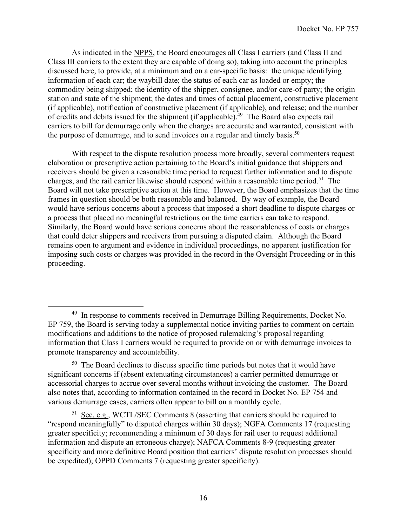As indicated in the NPPS, the Board encourages all Class I carriers (and Class II and Class III carriers to the extent they are capable of doing so), taking into account the principles discussed here, to provide, at a minimum and on a car-specific basis: the unique identifying information of each car; the waybill date; the status of each car as loaded or empty; the commodity being shipped; the identity of the shipper, consignee, and/or care-of party; the origin station and state of the shipment; the dates and times of actual placement, constructive placement (if applicable), notification of constructive placement (if applicable), and release; and the number of credits and debits issued for the shipment (if applicable).<sup>49</sup> The Board also expects rail carriers to bill for demurrage only when the charges are accurate and warranted, consistent with the purpose of demurrage, and to send invoices on a regular and timely basis.<sup>50</sup>

With respect to the dispute resolution process more broadly, several commenters request elaboration or prescriptive action pertaining to the Board's initial guidance that shippers and receivers should be given a reasonable time period to request further information and to dispute charges, and the rail carrier likewise should respond within a reasonable time period.<sup>51</sup> The Board will not take prescriptive action at this time. However, the Board emphasizes that the time frames in question should be both reasonable and balanced. By way of example, the Board would have serious concerns about a process that imposed a short deadline to dispute charges or a process that placed no meaningful restrictions on the time carriers can take to respond. Similarly, the Board would have serious concerns about the reasonableness of costs or charges that could deter shippers and receivers from pursuing a disputed claim. Although the Board remains open to argument and evidence in individual proceedings, no apparent justification for imposing such costs or charges was provided in the record in the Oversight Proceeding or in this proceeding.

<sup>&</sup>lt;sup>49</sup> In response to comments received in <u>Demurrage Billing Requirements</u>, Docket No. EP 759, the Board is serving today a supplemental notice inviting parties to comment on certain modifications and additions to the notice of proposed rulemaking's proposal regarding information that Class I carriers would be required to provide on or with demurrage invoices to promote transparency and accountability.

<sup>50</sup> The Board declines to discuss specific time periods but notes that it would have significant concerns if (absent extenuating circumstances) a carrier permitted demurrage or accessorial charges to accrue over several months without invoicing the customer. The Board also notes that, according to information contained in the record in Docket No. EP 754 and various demurrage cases, carriers often appear to bill on a monthly cycle.

 $51$  See, e.g., WCTL/SEC Comments 8 (asserting that carriers should be required to "respond meaningfully" to disputed charges within 30 days); NGFA Comments 17 (requesting greater specificity; recommending a minimum of 30 days for rail user to request additional information and dispute an erroneous charge); NAFCA Comments 8-9 (requesting greater specificity and more definitive Board position that carriers' dispute resolution processes should be expedited); OPPD Comments 7 (requesting greater specificity).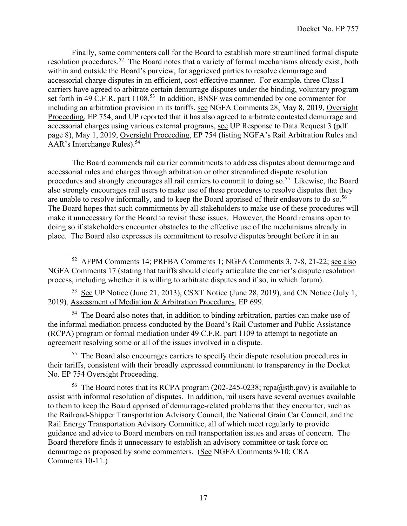Finally, some commenters call for the Board to establish more streamlined formal dispute resolution procedures.52 The Board notes that a variety of formal mechanisms already exist, both within and outside the Board's purview, for aggrieved parties to resolve demurrage and accessorial charge disputes in an efficient, cost-effective manner. For example, three Class I carriers have agreed to arbitrate certain demurrage disputes under the binding, voluntary program set forth in 49 C.F.R. part 1108.<sup>53</sup> In addition, BNSF was commended by one commenter for including an arbitration provision in its tariffs, see NGFA Comments 28, May 8, 2019, Oversight Proceeding, EP 754, and UP reported that it has also agreed to arbitrate contested demurrage and accessorial charges using various external programs, see UP Response to Data Request 3 (pdf page 8), May 1, 2019, Oversight Proceeding, EP 754 (listing NGFA's Rail Arbitration Rules and AAR's Interchange Rules).<sup>54</sup>

The Board commends rail carrier commitments to address disputes about demurrage and accessorial rules and charges through arbitration or other streamlined dispute resolution procedures and strongly encourages all rail carriers to commit to doing so.<sup>55</sup> Likewise, the Board also strongly encourages rail users to make use of these procedures to resolve disputes that they are unable to resolve informally, and to keep the Board apprised of their endeavors to do so.<sup>56</sup> The Board hopes that such commitments by all stakeholders to make use of these procedures will make it unnecessary for the Board to revisit these issues. However, the Board remains open to doing so if stakeholders encounter obstacles to the effective use of the mechanisms already in place. The Board also expresses its commitment to resolve disputes brought before it in an

53 See UP Notice (June 21, 2013), CSXT Notice (June 28, 2019), and CN Notice (July 1, 2019), Assessment of Mediation & Arbitration Procedures, EP 699.

<sup>54</sup> The Board also notes that, in addition to binding arbitration, parties can make use of the informal mediation process conducted by the Board's Rail Customer and Public Assistance (RCPA) program or formal mediation under 49 C.F.R. part 1109 to attempt to negotiate an agreement resolving some or all of the issues involved in a dispute.

<sup>55</sup> The Board also encourages carriers to specify their dispute resolution procedures in their tariffs, consistent with their broadly expressed commitment to transparency in the Docket No. EP 754 Oversight Proceeding.

<sup>56</sup> The Board notes that its RCPA program (202-245-0238; rcpa@stb.gov) is available to assist with informal resolution of disputes. In addition, rail users have several avenues available to them to keep the Board apprised of demurrage-related problems that they encounter, such as the Railroad-Shipper Transportation Advisory Council, the National Grain Car Council, and the Rail Energy Transportation Advisory Committee, all of which meet regularly to provide guidance and advice to Board members on rail transportation issues and areas of concern. The Board therefore finds it unnecessary to establish an advisory committee or task force on demurrage as proposed by some commenters. (See NGFA Comments 9-10; CRA Comments 10-11.)

<sup>&</sup>lt;sup>52</sup> AFPM Comments 14; PRFBA Comments 1; NGFA Comments 3, 7-8, 21-22; see also NGFA Comments 17 (stating that tariffs should clearly articulate the carrier's dispute resolution process, including whether it is willing to arbitrate disputes and if so, in which forum).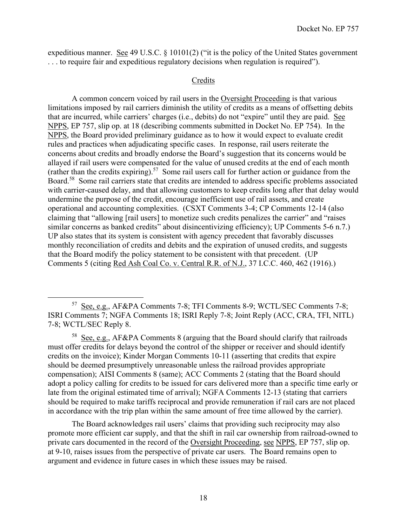expeditious manner. See 49 U.S.C. § 10101(2) ("it is the policy of the United States government . . . to require fair and expeditious regulatory decisions when regulation is required").

## Credits

 A common concern voiced by rail users in the Oversight Proceeding is that various limitations imposed by rail carriers diminish the utility of credits as a means of offsetting debits that are incurred, while carriers' charges (i.e., debits) do not "expire" until they are paid. See NPPS, EP 757, slip op. at 18 (describing comments submitted in Docket No. EP 754). In the NPPS, the Board provided preliminary guidance as to how it would expect to evaluate credit rules and practices when adjudicating specific cases. In response, rail users reiterate the concerns about credits and broadly endorse the Board's suggestion that its concerns would be allayed if rail users were compensated for the value of unused credits at the end of each month (rather than the credits expiring).<sup>57</sup> Some rail users call for further action or guidance from the Board.58 Some rail carriers state that credits are intended to address specific problems associated with carrier-caused delay, and that allowing customers to keep credits long after that delay would undermine the purpose of the credit, encourage inefficient use of rail assets, and create operational and accounting complexities. (CSXT Comments 3-4; CP Comments 12-14 (also claiming that "allowing [rail users] to monetize such credits penalizes the carrier" and "raises similar concerns as banked credits" about disincentivizing efficiency); UP Comments 5-6 n.7.) UP also states that its system is consistent with agency precedent that favorably discusses monthly reconciliation of credits and debits and the expiration of unused credits, and suggests that the Board modify the policy statement to be consistent with that precedent. (UP Comments 5 (citing Red Ash Coal Co. v. Central R.R. of N.J., 37 I.C.C. 460, 462 (1916).)

The Board acknowledges rail users' claims that providing such reciprocity may also promote more efficient car supply, and that the shift in rail car ownership from railroad-owned to private cars documented in the record of the Oversight Proceeding, see NPPS, EP 757, slip op. at 9-10, raises issues from the perspective of private car users. The Board remains open to argument and evidence in future cases in which these issues may be raised.

<sup>57</sup> See, e.g., AF&PA Comments 7-8; TFI Comments 8-9; WCTL/SEC Comments 7-8; ISRI Comments 7; NGFA Comments 18; ISRI Reply 7-8; Joint Reply (ACC, CRA, TFI, NITL) 7-8; WCTL/SEC Reply 8.

<sup>&</sup>lt;sup>58</sup> See, e.g., AF&PA Comments 8 (arguing that the Board should clarify that railroads must offer credits for delays beyond the control of the shipper or receiver and should identify credits on the invoice); Kinder Morgan Comments 10-11 (asserting that credits that expire should be deemed presumptively unreasonable unless the railroad provides appropriate compensation); AISI Comments 8 (same); ACC Comments 2 (stating that the Board should adopt a policy calling for credits to be issued for cars delivered more than a specific time early or late from the original estimated time of arrival); NGFA Comments 12-13 (stating that carriers should be required to make tariffs reciprocal and provide remuneration if rail cars are not placed in accordance with the trip plan within the same amount of free time allowed by the carrier).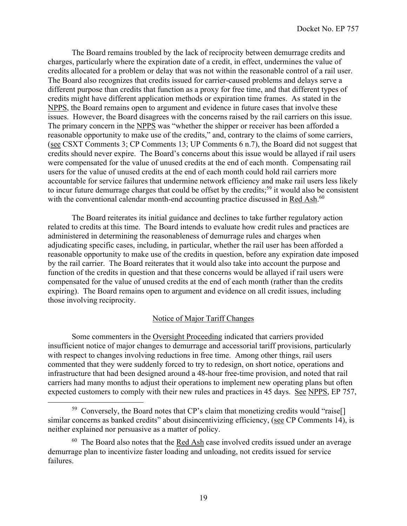The Board remains troubled by the lack of reciprocity between demurrage credits and charges, particularly where the expiration date of a credit, in effect, undermines the value of credits allocated for a problem or delay that was not within the reasonable control of a rail user. The Board also recognizes that credits issued for carrier-caused problems and delays serve a different purpose than credits that function as a proxy for free time, and that different types of credits might have different application methods or expiration time frames. As stated in the NPPS, the Board remains open to argument and evidence in future cases that involve these issues. However, the Board disagrees with the concerns raised by the rail carriers on this issue. The primary concern in the NPPS was "whether the shipper or receiver has been afforded a reasonable opportunity to make use of the credits," and, contrary to the claims of some carriers, (see CSXT Comments 3; CP Comments 13; UP Comments 6 n.7), the Board did not suggest that credits should never expire. The Board's concerns about this issue would be allayed if rail users were compensated for the value of unused credits at the end of each month. Compensating rail users for the value of unused credits at the end of each month could hold rail carriers more accountable for service failures that undermine network efficiency and make rail users less likely to incur future demurrage charges that could be offset by the credits;<sup>59</sup> it would also be consistent with the conventional calendar month-end accounting practice discussed in Red Ash.<sup>60</sup>

The Board reiterates its initial guidance and declines to take further regulatory action related to credits at this time. The Board intends to evaluate how credit rules and practices are administered in determining the reasonableness of demurrage rules and charges when adjudicating specific cases, including, in particular, whether the rail user has been afforded a reasonable opportunity to make use of the credits in question, before any expiration date imposed by the rail carrier. The Board reiterates that it would also take into account the purpose and function of the credits in question and that these concerns would be allayed if rail users were compensated for the value of unused credits at the end of each month (rather than the credits expiring). The Board remains open to argument and evidence on all credit issues, including those involving reciprocity.

## Notice of Major Tariff Changes

Some commenters in the Oversight Proceeding indicated that carriers provided insufficient notice of major changes to demurrage and accessorial tariff provisions, particularly with respect to changes involving reductions in free time. Among other things, rail users commented that they were suddenly forced to try to redesign, on short notice, operations and infrastructure that had been designed around a 48-hour free-time provision, and noted that rail carriers had many months to adjust their operations to implement new operating plans but often expected customers to comply with their new rules and practices in 45 days. See NPPS, EP 757,

<sup>59</sup> Conversely, the Board notes that CP's claim that monetizing credits would "raise[] similar concerns as banked credits" about disincentivizing efficiency, (see CP Comments 14), is neither explained nor persuasive as a matter of policy.

 $60$  The Board also notes that the Red Ash case involved credits issued under an average demurrage plan to incentivize faster loading and unloading, not credits issued for service failures.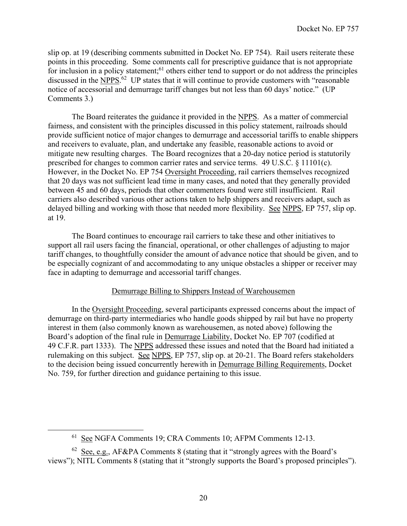slip op. at 19 (describing comments submitted in Docket No. EP 754). Rail users reiterate these points in this proceeding. Some comments call for prescriptive guidance that is not appropriate for inclusion in a policy statement;<sup>61</sup> others either tend to support or do not address the principles discussed in the NPPS.<sup>62</sup> UP states that it will continue to provide customers with "reasonable" notice of accessorial and demurrage tariff changes but not less than 60 days' notice." (UP Comments 3.)

 The Board reiterates the guidance it provided in the NPPS. As a matter of commercial fairness, and consistent with the principles discussed in this policy statement, railroads should provide sufficient notice of major changes to demurrage and accessorial tariffs to enable shippers and receivers to evaluate, plan, and undertake any feasible, reasonable actions to avoid or mitigate new resulting charges. The Board recognizes that a 20-day notice period is statutorily prescribed for changes to common carrier rates and service terms. 49 U.S.C. § 11101(c). However, in the Docket No. EP 754 Oversight Proceeding, rail carriers themselves recognized that 20 days was not sufficient lead time in many cases, and noted that they generally provided between 45 and 60 days, periods that other commenters found were still insufficient. Rail carriers also described various other actions taken to help shippers and receivers adapt, such as delayed billing and working with those that needed more flexibility. See NPPS, EP 757, slip op. at 19.

The Board continues to encourage rail carriers to take these and other initiatives to support all rail users facing the financial, operational, or other challenges of adjusting to major tariff changes, to thoughtfully consider the amount of advance notice that should be given, and to be especially cognizant of and accommodating to any unique obstacles a shipper or receiver may face in adapting to demurrage and accessorial tariff changes.

## Demurrage Billing to Shippers Instead of Warehousemen

 In the Oversight Proceeding, several participants expressed concerns about the impact of demurrage on third-party intermediaries who handle goods shipped by rail but have no property interest in them (also commonly known as warehousemen, as noted above) following the Board's adoption of the final rule in Demurrage Liability, Docket No. EP 707 (codified at 49 C.F.R. part 1333). The NPPS addressed these issues and noted that the Board had initiated a rulemaking on this subject. See NPPS, EP 757, slip op. at 20-21. The Board refers stakeholders to the decision being issued concurrently herewith in Demurrage Billing Requirements, Docket No. 759, for further direction and guidance pertaining to this issue.

<sup>61</sup> See NGFA Comments 19; CRA Comments 10; AFPM Comments 12-13.

<sup>&</sup>lt;sup>62</sup> See, e.g., AF&PA Comments 8 (stating that it "strongly agrees with the Board's views"); NITL Comments 8 (stating that it "strongly supports the Board's proposed principles").